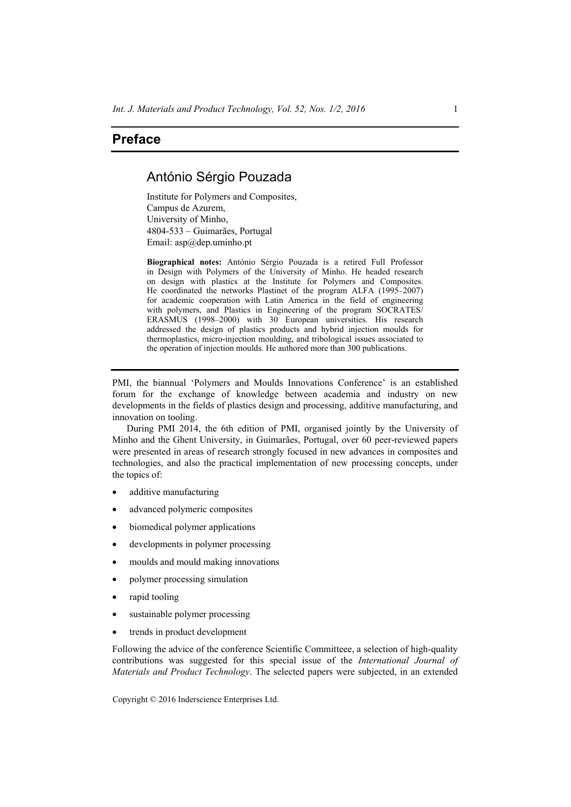## **Preface**

## António Sérgio Pouzada

Institute for Polymers and Composites, Campus de Azurem, University of Minho, 4804-533 – Guimarães, Portugal Email: asp@dep.uminho.pt

**Biographical notes:** António Sérgio Pouzada is a retired Full Professor in Design with Polymers of the University of Minho. He headed research on design with plastics at the Institute for Polymers and Composites. He coordinated the networks Plastinet of the program ALFA (1995–2007) for academic cooperation with Latin America in the field of engineering with polymers, and Plastics in Engineering of the program SOCRATES/ ERASMUS (1998–2000) with 30 European universities. His research addressed the design of plastics products and hybrid injection moulds for thermoplastics, micro-injection moulding, and tribological issues associated to the operation of injection moulds. He authored more than 300 publications.

PMI, the biannual 'Polymers and Moulds Innovations Conference' is an established forum for the exchange of knowledge between academia and industry on new developments in the fields of plastics design and processing, additive manufacturing, and innovation on tooling.

During PMI 2014, the 6th edition of PMI, organised jointly by the University of Minho and the Ghent University, in Guimarães, Portugal, over 60 peer-reviewed papers were presented in areas of research strongly focused in new advances in composites and technologies, and also the practical implementation of new processing concepts, under the topics of:

- additive manufacturing
- advanced polymeric composites
- biomedical polymer applications
- developments in polymer processing
- moulds and mould making innovations
- polymer processing simulation
- rapid tooling
- sustainable polymer processing
- trends in product development

Following the advice of the conference Scientific Committeee, a selection of high-quality contributions was suggested for this special issue of the *International Journal of Materials and Product Technology*. The selected papers were subjected, in an extended

Copyright © 2016 Inderscience Enterprises Ltd.